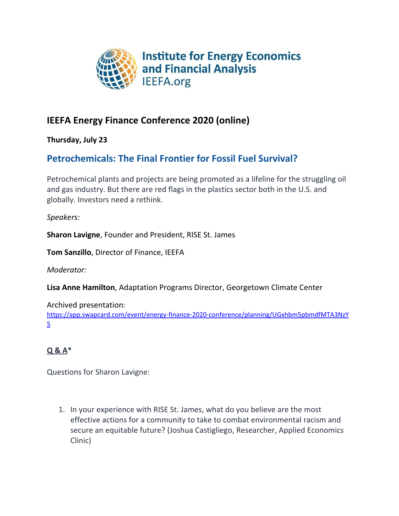

## **IEEFA Energy Finance Conference 2020 (online)**

**Thursday, July 23**

## **Petrochemicals: The Final Frontier for Fossil Fuel Survival?**

Petrochemical plants and projects are being promoted as a lifeline for the struggling oil and gas industry. But there are red flags in the plastics sector both in the U.S. and globally. Investors need a rethink.

*Speakers:*

**Sharon Lavigne**, Founder and President, RISE St. James

**Tom Sanzillo**, Director of Finance, IEEFA

*Moderator:*

**Lisa Anne Hamilton**, Adaptation Programs Director, Georgetown Climate Center

Archived presentation:

[https://app.swapcard.com/event/energy-finance-2020-conference/planning/UGxhbm5pbmdfMTA3NzY](https://app.swapcard.com/event/energy-finance-2020-conference/planning/UGxhbm5pbmdfMTA3NzY5) [5](https://app.swapcard.com/event/energy-finance-2020-conference/planning/UGxhbm5pbmdfMTA3NzY5)

## **Q & A\***

Questions for Sharon Lavigne:

1. In your experience with RISE St. James, what do you believe are the most effective actions for a community to take to combat environmental racism and secure an equitable future? (Joshua Castigliego, Researcher, Applied Economics Clinic)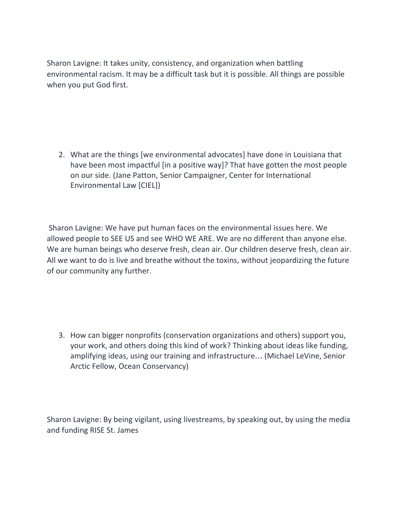Sharon Lavigne: It takes unity, consistency, and organization when battling environmental racism. It may be a difficult task but it is possible. All things are possible when you put God first.

2. What are the things [we environmental advocates] have done in Louisiana that have been most impactful [in a positive way]? That have gotten the most people on our side. (Jane Patton, Senior Campaigner, Center for International Environmental Law [CIEL])

Sharon Lavigne: We have put human faces on the environmental issues here. We allowed people to SEE US and see WHO WE ARE. We are no different than anyone else. We are human beings who deserve fresh, clean air. Our children deserve fresh, clean air. All we want to do is live and breathe without the toxins, without jeopardizing the future of our community any further.

3. How can bigger nonprofits (conservation organizations and others) support you, your work, and others doing this kind of work? Thinking about ideas like funding, amplifying ideas, using our training and infrastructure… (Michael LeVine, Senior Arctic Fellow, Ocean Conservancy)

Sharon Lavigne: By being vigilant, using livestreams, by speaking out, by using the media and funding RISE St. James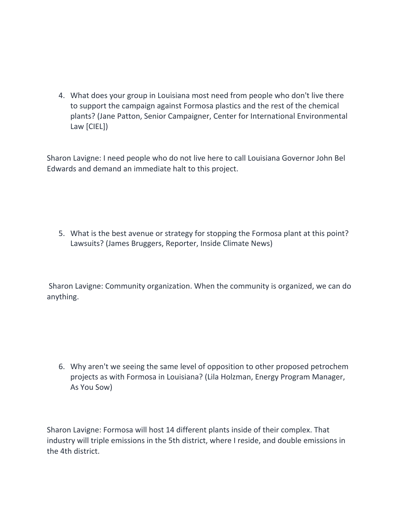4. What does your group in Louisiana most need from people who don't live there to support the campaign against Formosa plastics and the rest of the chemical plants? (Jane Patton, Senior Campaigner, Center for International Environmental Law [CIEL])

Sharon Lavigne: I need people who do not live here to call Louisiana Governor John Bel Edwards and demand an immediate halt to this project.

5. What is the best avenue or strategy for stopping the Formosa plant at this point? Lawsuits? (James Bruggers, Reporter, Inside Climate News)

Sharon Lavigne: Community organization. When the community is organized, we can do anything.

6. Why aren't we seeing the same level of opposition to other proposed petrochem projects as with Formosa in Louisiana? (Lila Holzman, Energy Program Manager, As You Sow)

Sharon Lavigne: Formosa will host 14 different plants inside of their complex. That industry will triple emissions in the 5th district, where I reside, and double emissions in the 4th district.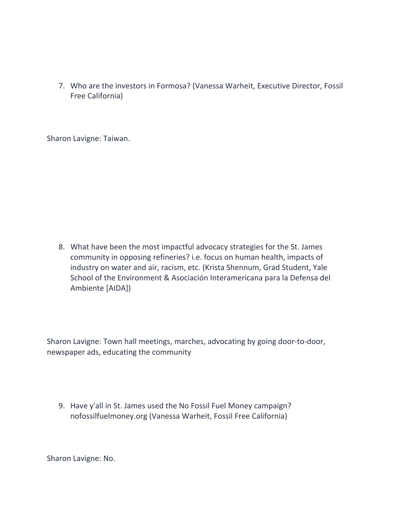7. Who are the investors in Formosa? (Vanessa Warheit, Executive Director, Fossil Free California)

Sharon Lavigne: Taiwan.

8. What have been the most impactful advocacy strategies for the St. James community in opposing refineries? i.e. focus on human health, impacts of industry on water and air, racism, etc. (Krista Shennum, Grad Student, Yale School of the Environment & Asociación Interamericana para la Defensa del Ambiente [AIDA])

Sharon Lavigne: Town hall meetings, marches, advocating by going door-to-door, newspaper ads, educating the community

9. Have y'all in St. James used the No Fossil Fuel Money campaign? nofossilfuelmoney.org (Vanessa Warheit, Fossil Free California)

Sharon Lavigne: No.